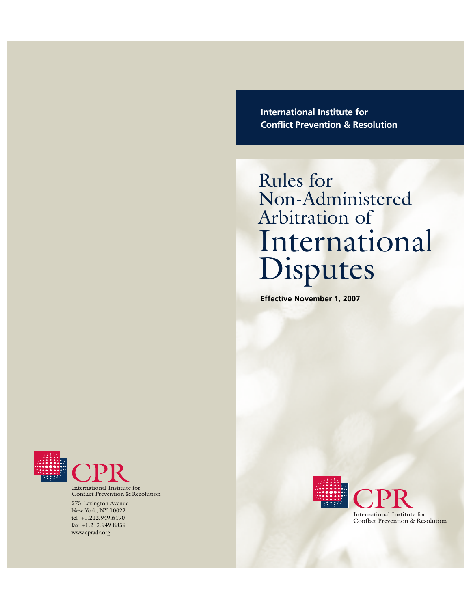International Institute for Conflict Prevention & Resolution

Rules for Non-Administered Arbitration of International Disputes

Effective November 1, 2007





International Institute for **Conflict Prevention & Resolution** 

575 Lexington Avenue New York, NY 10022 tel +1.212.949.6490 fax +1.212.949.8859 www.cpradr.org

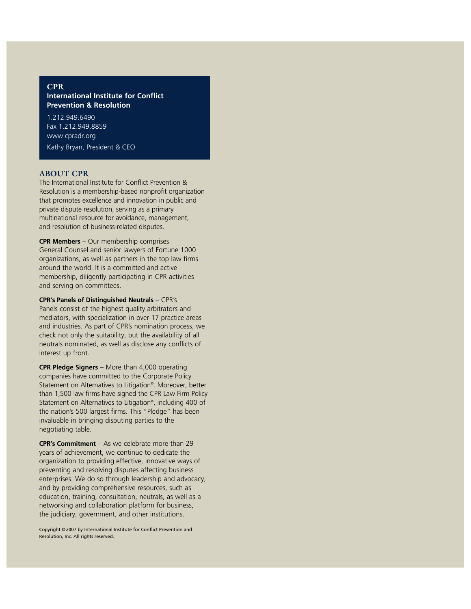# CPR International Institute for Conflict Prevention & Resolution

1.212.949.6490 Fax 1.212.949.8859 www.cpradr.org Kathy Bryan, President & CEO

# ABOUT CPR

The International Institute for Conflict Prevention & Resolution is a membership-based nonprofit organization that promotes excellence and innovation in public and private dispute resolution, serving as a primary multinational resource for avoidance, management, and resolution of business-related disputes.

CPR Members – Our membership comprises General Counsel and senior lawyers of Fortune 1000 organizations, as well as partners in the top law firms around the world. It is a committed and active membership, diligently participating in CPR activities and serving on committees.

## CPR's Panels of Distinguished Neutrals – CPR's

Panels consist of the highest quality arbitrators and mediators, with specialization in over 17 practice areas and industries. As part of CPR's nomination process, we check not only the suitability, but the availability of all neutrals nominated, as well as disclose any conflicts of interest up front.

CPR Pledge Signers – More than 4,000 operating companies have committed to the Corporate Policy Statement on Alternatives to Litigation© . Moreover, better than 1,500 law firms have signed the CPR Law Firm Policy Statement on Alternatives to Litigation<sup>®</sup>, including 400 of the nation's 500 largest firms. This "Pledge" has been invaluable in bringing disputing parties to the negotiating table.

CPR's Commitment – As we celebrate more than 29 years of achievement, we continue to dedicate the organization to providing effective, innovative ways of preventing and resolving disputes affecting business enterprises. We do so through leadership and advocacy, and by providing comprehensive resources, such as education, training, consultation, neutrals, as well as a networking and collaboration platform for business, the judiciary, government, and other institutions.

Copyright ©2007 by International Institute for Conflict Prevention and Resolution, Inc. All rights reserved.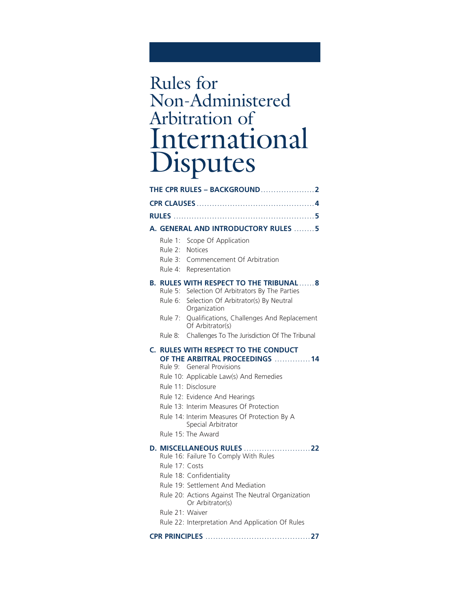# Rules for Non-Administered Arbitration of International Disputes

|  |                                   | A. GENERAL AND INTRODUCTORY RULES 5                                                                                                                                                                                                                                                                                                             |
|--|-----------------------------------|-------------------------------------------------------------------------------------------------------------------------------------------------------------------------------------------------------------------------------------------------------------------------------------------------------------------------------------------------|
|  | Rule 1:<br>Rule 2: Notices        | Scope Of Application<br>Rule 3: Commencement Of Arbitration<br>Rule 4: Representation                                                                                                                                                                                                                                                           |
|  | Rule 5:<br>Rule 6:<br>Rule 8:     | <b>B. RULES WITH RESPECT TO THE TRIBUNAL8</b><br>Selection Of Arbitrators By The Parties<br>Selection Of Arbitrator(s) By Neutral<br>Organization<br>Rule 7: Qualifications, Challenges And Replacement<br>Of Arbitrator(s)<br>Challenges To The Jurisdiction Of The Tribunal                                                                   |
|  |                                   | C. RULES WITH RESPECT TO THE CONDUCT<br>OF THE ARBITRAL PROCEEDINGS 14<br>Rule 9: General Provisions<br>Rule 10: Applicable Law(s) And Remedies<br>Rule 11: Disclosure<br>Rule 12: Evidence And Hearings<br>Rule 13: Interim Measures Of Protection<br>Rule 14: Interim Measures Of Protection By A<br>Special Arbitrator<br>Rule 15: The Award |
|  | Rule 17: Costs<br>Rule 21: Waiver | D. MISCELLANEOUS RULES 22<br>Rule 16: Failure To Comply With Rules<br>Rule 18: Confidentiality<br>Rule 19: Settlement And Mediation<br>Rule 20: Actions Against The Neutral Organization<br>Or Arbitrator(s)<br>Rule 22: Interpretation And Application Of Rules                                                                                |
|  |                                   |                                                                                                                                                                                                                                                                                                                                                 |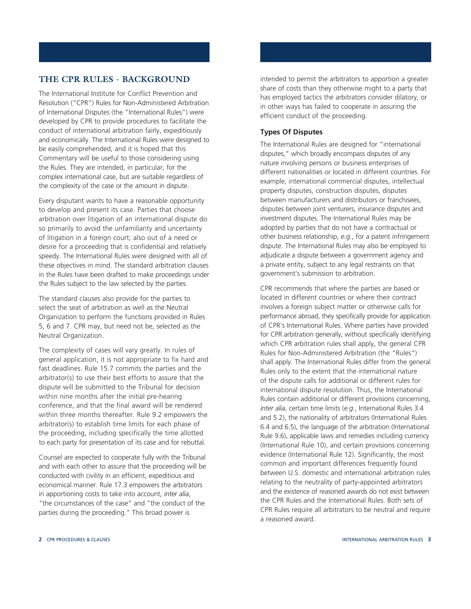## THE CPR RULES - BACKGROUND

The International Institute for Conflict Prevention and Resolution ("CPR") Rules for Non-Administered Arbitration of International Disputes (the "International Rules") were developed by CPR to provide procedures to facilitate the conduct of international arbitration fairly, expeditiously and economically. The International Rules were designed to be easily comprehended, and it is hoped that this Commentary will be useful to those considering using the Rules. They are intended, in particular, for the complex international case, but are suitable regardless of the complexity of the case or the amount in dispute.

Every disputant wants to have a reasonable opportunity to develop and present its case. Parties that choose arbitration over litigation of an international dispute do so primarily to avoid the unfamiliarity and uncertainty of litigation in a foreign court; also out of a need or desire for a proceeding that is confidential and relatively speedy. The International Rules were designed with all of these objectives in mind. The standard arbitration clauses in the Rules have been drafted to make proceedings under the Rules subject to the law selected by the parties.

The standard clauses also provide for the parties to select the seat of arbitration as well as the Neutral Organization to perform the functions provided in Rules 5, 6 and 7. CPR may, but need not be, selected as the Neutral Organization.

The complexity of cases will vary greatly. In rules of general application, it is not appropriate to fix hard and fast deadlines. Rule 15.7 commits the parties and the arbitrator(s) to use their best efforts to assure that the dispute will be submitted to the Tribunal for decision within nine months after the initial pre-hearing conference, and that the final award will be rendered within three months thereafter. Rule 9.2 empowers the arbitrator(s) to establish time limits for each phase of the proceeding, including specifically the time allotted to each party for presentation of its case and for rebuttal.

Counsel are expected to cooperate fully with the Tribunal and with each other to assure that the proceeding will be conducted with civility in an efficient, expeditious and economical manner. Rule 17.3 empowers the arbitrators in apportioning costs to take into account, inter alia, "the circumstances of the case" and "the conduct of the parties during the proceeding." This broad power is

intended to permit the arbitrators to apportion a greater share of costs than they otherwise might to a party that has employed tactics the arbitrators consider dilatory, or in other ways has failed to cooperate in assuring the efficient conduct of the proceeding.

#### Types Of Disputes

The International Rules are designed for "international disputes," which broadly encompass disputes of any nature involving persons or business enterprises of different nationalities or located in different countries. For example, international commercial disputes, intellectual property disputes, construction disputes, disputes between manufacturers and distributors or franchisees, disputes between joint venturers, insurance disputes and investment disputes. The International Rules may be adopted by parties that do not have a contractual or other business relationship, e.g., for a patent infringement dispute. The International Rules may also be employed to adjudicate a dispute between a government agency and a private entity, subject to any legal restraints on that government's submission to arbitration.

CPR recommends that where the parties are based or located in different countries or where their contract involves a foreign subject matter or otherwise calls for performance abroad, they specifically provide for application of CPR's International Rules. Where parties have provided for CPR arbitration generally, without specifically identifying which CPR arbitration rules shall apply, the general CPR Rules for Non-Administered Arbitration (the "Rules") shall apply. The International Rules differ from the general Rules only to the extent that the international nature of the dispute calls for additional or different rules for international dispute resolution. Thus, the International Rules contain additional or different provisions concerning, inter alia, certain time limits (e.g., International Rules 3.4 and 5.2), the nationality of arbitrators (International Rules 6.4 and 6.5), the language of the arbitration (International Rule 9.6), applicable laws and remedies including currency (International Rule 10), and certain provisions concerning evidence (International Rule 12). Significantly, the most common and important differences frequently found between U.S. domestic and international arbitration rules relating to the neutrality of party-appointed arbitrators and the existence of reasoned awards do not exist between the CPR Rules and the International Rules. Both sets of CPR Rules require all arbitrators to be neutral and require a reasoned award.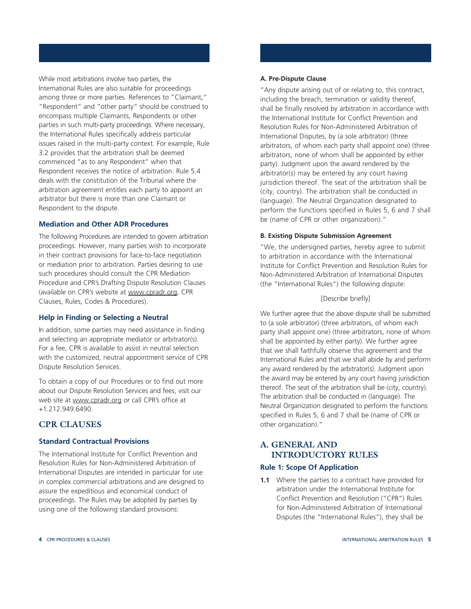While most arbitrations involve two parties, the International Rules are also suitable for proceedings among three or more parties. References to "Claimant," "Respondent" and "other party" should be construed to encompass multiple Claimants, Respondents or other parties in such multi-party proceedings. Where necessary, the International Rules specifically address particular issues raised in the multi-party context. For example, Rule 3.2 provides that the arbitration shall be deemed commenced "as to any Respondent" when that Respondent receives the notice of arbitration. Rule 5.4 deals with the constitution of the Tribunal where the arbitration agreement entitles each party to appoint an arbitrator but there is more than one Claimant or Respondent to the dispute.

# Mediation and Other ADR Procedures

The following Procedures are intended to govern arbitration proceedings. However, many parties wish to incorporate in their contract provisions for face-to-face negotiation or mediation prior to arbitration. Parties desiring to use such procedures should consult the CPR Mediation Procedure and CPR's Drafting Dispute Resolution Clauses (available on CPR's website at www.cpradr.org, CPR Clauses, Rules, Codes & Procedures).

#### Help in Finding or Selecting a Neutral

In addition, some parties may need assistance in finding and selecting an appropriate mediator or arbitrator(s). For a fee, CPR is available to assist in neutral selection with the customized, neutral appointment service of CPR Dispute Resolution Services.

To obtain a copy of our Procedures or to find out more about our Dispute Resolution Services and fees, visit our web site at www.cpradr.org or call CPR's office at +1.212.949.6490.

## CPR CLAUSES

#### Standard Contractual Provisions

The International Institute for Conflict Prevention and Resolution Rules for Non-Administered Arbitration of International Disputes are intended in particular for use in complex commercial arbitrations and are designed to assure the expeditious and economical conduct of proceedings. The Rules may be adopted by parties by using one of the following standard provisions:

#### A. Pre-Dispute Clause

"Any dispute arising out of or relating to, this contract, including the breach, termination or validity thereof, shall be finally resolved by arbitration in accordance with the International Institute for Conflict Prevention and Resolution Rules for Non-Administered Arbitration of International Disputes, by (a sole arbitrator) (three arbitrators, of whom each party shall appoint one) (three arbitrators, none of whom shall be appointed by either party). Judgment upon the award rendered by the arbitrator(s) may be entered by any court having jurisdiction thereof. The seat of the arbitration shall be (city, country). The arbitration shall be conducted in (language). The Neutral Organization designated to perform the functions specified in Rules 5, 6 and 7 shall be (name of CPR or other organization)."

#### B. Existing Dispute Submission Agreement

"We, the undersigned parties, hereby agree to submit to arbitration in accordance with the International Institute for Conflict Prevention and Resolution Rules for Non-Administered Arbitration of International Disputes (the "International Rules") the following dispute:

#### [Describe briefly]

We further agree that the above dispute shall be submitted to (a sole arbitrator) (three arbitrators, of whom each party shall appoint one) (three arbitrators, none of whom shall be appointed by either party). We further agree that we shall faithfully observe this agreement and the International Rules and that we shall abide by and perform any award rendered by the arbitrator(s). Judgment upon the award may be entered by any court having jurisdiction thereof. The seat of the arbitration shall be (city, country). The arbitration shall be conducted in (language). The Neutral Organization designated to perform the functions specified in Rules 5, 6 and 7 shall be (name of CPR or other organization)."

# A. GENERAL AND INTRODUCTORY RULES

## Rule 1: Scope Of Application

1.1 Where the parties to a contract have provided for arbitration under the International Institute for Conflict Prevention and Resolution ("CPR") Rules for Non-Administered Arbitration of International Disputes (the "International Rules"), they shall be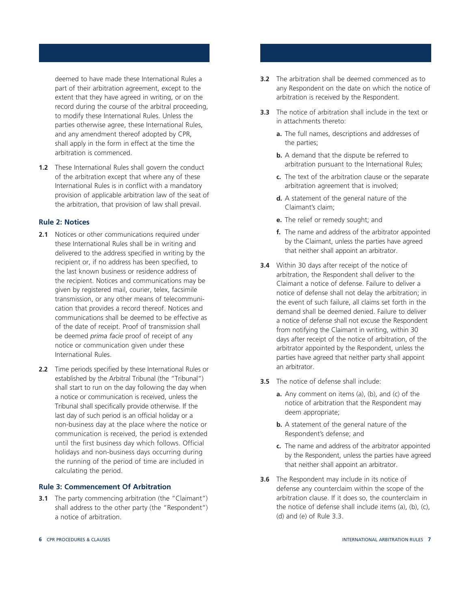deemed to have made these International Rules a part of their arbitration agreement, except to the extent that they have agreed in writing, or on the record during the course of the arbitral proceeding, to modify these International Rules. Unless the parties otherwise agree, these International Rules, and any amendment thereof adopted by CPR, shall apply in the form in effect at the time the arbitration is commenced.

**1.2** These International Rules shall govern the conduct of the arbitration except that where any of these International Rules is in conflict with a mandatory provision of applicable arbitration law of the seat of the arbitration, that provision of law shall prevail.

#### Rule 2: Notices

- 2.1 Notices or other communications required under these International Rules shall be in writing and delivered to the address specified in writing by the recipient or, if no address has been specified, to the last known business or residence address of the recipient. Notices and communications may be given by registered mail, courier, telex, facsimile transmission, or any other means of telecommunication that provides a record thereof. Notices and communications shall be deemed to be effective as of the date of receipt. Proof of transmission shall be deemed prima facie proof of receipt of any notice or communication given under these International Rules.
- 2.2 Time periods specified by these International Rules or established by the Arbitral Tribunal (the "Tribunal") shall start to run on the day following the day when a notice or communication is received, unless the Tribunal shall specifically provide otherwise. If the last day of such period is an official holiday or a non-business day at the place where the notice or communication is received, the period is extended until the first business day which follows. Official holidays and non-business days occurring during the running of the period of time are included in calculating the period.

## Rule 3: Commencement Of Arbitration

**3.1** The party commencing arbitration (the "Claimant") shall address to the other party (the "Respondent") a notice of arbitration.

- **3.2** The arbitration shall be deemed commenced as to any Respondent on the date on which the notice of arbitration is received by the Respondent.
- 3.3 The notice of arbitration shall include in the text or in attachments thereto:
	- a. The full names, descriptions and addresses of the parties;
	- **b.** A demand that the dispute be referred to arbitration pursuant to the International Rules;
	- c. The text of the arbitration clause or the separate arbitration agreement that is involved;
	- d. A statement of the general nature of the Claimant's claim;
	- e. The relief or remedy sought; and
	- f. The name and address of the arbitrator appointed by the Claimant, unless the parties have agreed that neither shall appoint an arbitrator.
- **3.4** Within 30 days after receipt of the notice of arbitration, the Respondent shall deliver to the Claimant a notice of defense. Failure to deliver a notice of defense shall not delay the arbitration; in the event of such failure, all claims set forth in the demand shall be deemed denied. Failure to deliver a notice of defense shall not excuse the Respondent from notifying the Claimant in writing, within 30 days after receipt of the notice of arbitration, of the arbitrator appointed by the Respondent, unless the parties have agreed that neither party shall appoint an arbitrator.
- **3.5** The notice of defense shall include:
	- **a.** Any comment on items  $(a)$ ,  $(b)$ , and  $(c)$  of the notice of arbitration that the Respondent may deem appropriate;
	- **b.** A statement of the general nature of the Respondent's defense; and
	- c. The name and address of the arbitrator appointed by the Respondent, unless the parties have agreed that neither shall appoint an arbitrator.
- **3.6** The Respondent may include in its notice of defense any counterclaim within the scope of the arbitration clause. If it does so, the counterclaim in the notice of defense shall include items (a), (b), (c), (d) and (e) of Rule 3.3.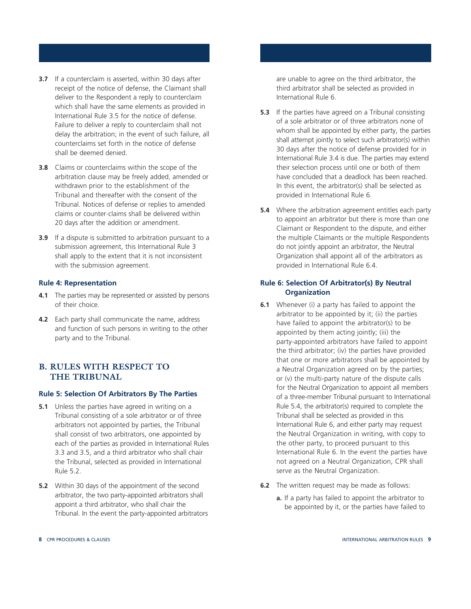- **3.7** If a counterclaim is asserted, within 30 days after receipt of the notice of defense, the Claimant shall deliver to the Respondent a reply to counterclaim which shall have the same elements as provided in International Rule 3.5 for the notice of defense. Failure to deliver a reply to counterclaim shall not delay the arbitration; in the event of such failure, all counterclaims set forth in the notice of defense shall be deemed denied.
- **3.8** Claims or counterclaims within the scope of the arbitration clause may be freely added, amended or withdrawn prior to the establishment of the Tribunal and thereafter with the consent of the Tribunal. Notices of defense or replies to amended claims or counter-claims shall be delivered within 20 days after the addition or amendment.
- **3.9** If a dispute is submitted to arbitration pursuant to a submission agreement, this International Rule 3 shall apply to the extent that it is not inconsistent with the submission agreement.

## Rule 4: Representation

- 4.1 The parties may be represented or assisted by persons of their choice.
- 4.2 Each party shall communicate the name, address and function of such persons in writing to the other party and to the Tribunal.

# B. RULES WITH RESPECT TO THE TRIBUNAL

# Rule 5: Selection Of Arbitrators By The Parties

- 5.1 Unless the parties have agreed in writing on a Tribunal consisting of a sole arbitrator or of three arbitrators not appointed by parties, the Tribunal shall consist of two arbitrators, one appointed by each of the parties as provided in International Rules 3.3 and 3.5, and a third arbitrator who shall chair the Tribunal, selected as provided in International Rule 5.2.
- **5.2** Within 30 days of the appointment of the second arbitrator, the two party-appointed arbitrators shall appoint a third arbitrator, who shall chair the Tribunal. In the event the party-appointed arbitrators

are unable to agree on the third arbitrator, the third arbitrator shall be selected as provided in International Rule 6.

- 5.3 If the parties have agreed on a Tribunal consisting of a sole arbitrator or of three arbitrators none of whom shall be appointed by either party, the parties shall attempt jointly to select such arbitrator(s) within 30 days after the notice of defense provided for in International Rule 3.4 is due. The parties may extend their selection process until one or both of them have concluded that a deadlock has been reached. In this event, the arbitrator(s) shall be selected as provided in International Rule 6.
- **5.4** Where the arbitration agreement entitles each party to appoint an arbitrator but there is more than one Claimant or Respondent to the dispute, and either the multiple Claimants or the multiple Respondents do not jointly appoint an arbitrator, the Neutral Organization shall appoint all of the arbitrators as provided in International Rule 6.4.

### Rule 6: Selection Of Arbitrator(s) By Neutral **Organization**

- **6.1** Whenever (i) a party has failed to appoint the arbitrator to be appointed by it; (ii) the parties have failed to appoint the arbitrator(s) to be appointed by them acting jointly; (iii) the party-appointed arbitrators have failed to appoint the third arbitrator; (iv) the parties have provided that one or more arbitrators shall be appointed by a Neutral Organization agreed on by the parties; or (v) the multi-party nature of the dispute calls for the Neutral Organization to appoint all members of a three-member Tribunal pursuant to International Rule 5.4, the arbitrator(s) required to complete the Tribunal shall be selected as provided in this International Rule 6, and either party may request the Neutral Organization in writing, with copy to the other party, to proceed pursuant to this International Rule 6. In the event the parties have not agreed on a Neutral Organization, CPR shall serve as the Neutral Organization.
- **6.2** The written request may be made as follows:
	- a. If a party has failed to appoint the arbitrator to be appointed by it, or the parties have failed to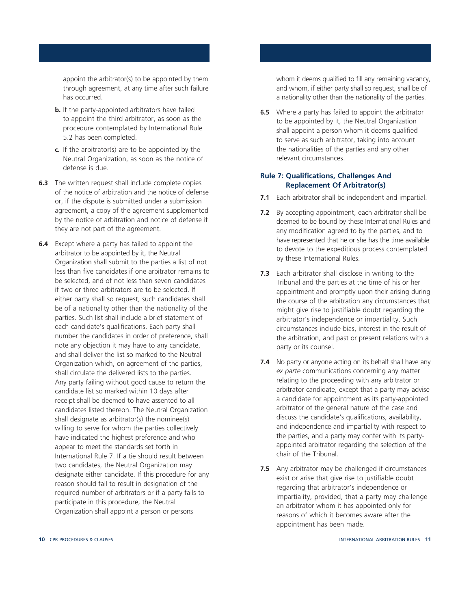appoint the arbitrator(s) to be appointed by them through agreement, at any time after such failure has occurred.

- **b.** If the party-appointed arbitrators have failed to appoint the third arbitrator, as soon as the procedure contemplated by International Rule 5.2 has been completed.
- c. If the arbitrator(s) are to be appointed by the Neutral Organization, as soon as the notice of defense is due.
- **6.3** The written request shall include complete copies of the notice of arbitration and the notice of defense or, if the dispute is submitted under a submission agreement, a copy of the agreement supplemented by the notice of arbitration and notice of defense if they are not part of the agreement.
- **6.4** Except where a party has failed to appoint the arbitrator to be appointed by it, the Neutral Organization shall submit to the parties a list of not less than five candidates if one arbitrator remains to be selected, and of not less than seven candidates if two or three arbitrators are to be selected. If either party shall so request, such candidates shall be of a nationality other than the nationality of the parties. Such list shall include a brief statement of each candidate's qualifications. Each party shall number the candidates in order of preference, shall note any objection it may have to any candidate, and shall deliver the list so marked to the Neutral Organization which, on agreement of the parties, shall circulate the delivered lists to the parties. Any party failing without good cause to return the candidate list so marked within 10 days after receipt shall be deemed to have assented to all candidates listed thereon. The Neutral Organization shall designate as arbitrator(s) the nominee(s) willing to serve for whom the parties collectively have indicated the highest preference and who appear to meet the standards set forth in International Rule 7. If a tie should result between two candidates, the Neutral Organization may designate either candidate. If this procedure for any reason should fail to result in designation of the required number of arbitrators or if a party fails to participate in this procedure, the Neutral Organization shall appoint a person or persons

whom it deems qualified to fill any remaining vacancy, and whom, if either party shall so request, shall be of a nationality other than the nationality of the parties.

**6.5** Where a party has failed to appoint the arbitrator to be appointed by it, the Neutral Organization shall appoint a person whom it deems qualified to serve as such arbitrator, taking into account the nationalities of the parties and any other relevant circumstances.

#### Rule 7: Qualifications, Challenges And Replacement Of Arbitrator(s)

- 7.1 Each arbitrator shall be independent and impartial.
- 7.2 By accepting appointment, each arbitrator shall be deemed to be bound by these International Rules and any modification agreed to by the parties, and to have represented that he or she has the time available to devote to the expeditious process contemplated by these International Rules.
- **7.3** Each arbitrator shall disclose in writing to the Tribunal and the parties at the time of his or her appointment and promptly upon their arising during the course of the arbitration any circumstances that might give rise to justifiable doubt regarding the arbitrator's independence or impartiality. Such circumstances include bias, interest in the result of the arbitration, and past or present relations with a party or its counsel.
- **7.4** No party or anyone acting on its behalf shall have any ex parte communications concerning any matter relating to the proceeding with any arbitrator or arbitrator candidate, except that a party may advise a candidate for appointment as its party-appointed arbitrator of the general nature of the case and discuss the candidate's qualifications, availability, and independence and impartiality with respect to the parties, and a party may confer with its partyappointed arbitrator regarding the selection of the chair of the Tribunal.
- 7.5 Any arbitrator may be challenged if circumstances exist or arise that give rise to justifiable doubt regarding that arbitrator's independence or impartiality, provided, that a party may challenge an arbitrator whom it has appointed only for reasons of which it becomes aware after the appointment has been made.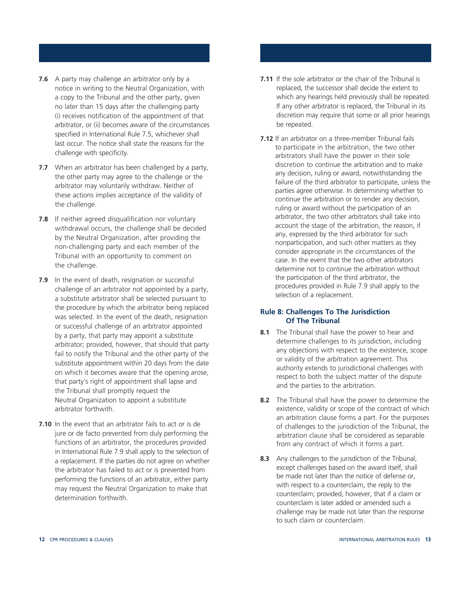- 7.6 A party may challenge an arbitrator only by a notice in writing to the Neutral Organization, with a copy to the Tribunal and the other party, given no later than 15 days after the challenging party (i) receives notification of the appointment of that arbitrator, or (ii) becomes aware of the circumstances specified in International Rule 7.5, whichever shall last occur. The notice shall state the reasons for the challenge with specificity.
- 7.7 When an arbitrator has been challenged by a party, the other party may agree to the challenge or the arbitrator may voluntarily withdraw. Neither of these actions implies acceptance of the validity of the challenge.
- **7.8** If neither agreed disqualification nor voluntary withdrawal occurs, the challenge shall be decided by the Neutral Organization, after providing the non-challenging party and each member of the Tribunal with an opportunity to comment on the challenge.
- 7.9 In the event of death, resignation or successful challenge of an arbitrator not appointed by a party, a substitute arbitrator shall be selected pursuant to the procedure by which the arbitrator being replaced was selected. In the event of the death, resignation or successful challenge of an arbitrator appointed by a party, that party may appoint a substitute arbitrator; provided, however, that should that party fail to notify the Tribunal and the other party of the substitute appointment within 20 days from the date on which it becomes aware that the opening arose, that party's right of appointment shall lapse and the Tribunal shall promptly request the Neutral Organization to appoint a substitute arbitrator forthwith.
- 7.10 In the event that an arbitrator fails to act or is de jure or de facto prevented from duly performing the functions of an arbitrator, the procedures provided in International Rule 7.9 shall apply to the selection of a replacement. If the parties do not agree on whether the arbitrator has failed to act or is prevented from performing the functions of an arbitrator, either party may request the Neutral Organization to make that determination forthwith.
- **7.11** If the sole arbitrator or the chair of the Tribunal is replaced, the successor shall decide the extent to which any hearings held previously shall be repeated. If any other arbitrator is replaced, the Tribunal in its discretion may require that some or all prior hearings be repeated.
- 7.12 If an arbitrator on a three-member Tribunal fails to participate in the arbitration, the two other arbitrators shall have the power in their sole discretion to continue the arbitration and to make any decision, ruling or award, notwithstanding the failure of the third arbitrator to participate, unless the parties agree otherwise. In determining whether to continue the arbitration or to render any decision, ruling or award without the participation of an arbitrator, the two other arbitrators shall take into account the stage of the arbitration, the reason, if any, expressed by the third arbitrator for such nonparticipation, and such other matters as they consider appropriate in the circumstances of the case. In the event that the two other arbitrators determine not to continue the arbitration without the participation of the third arbitrator, the procedures provided in Rule 7.9 shall apply to the selection of a replacement.

## Rule 8: Challenges To The Jurisdiction Of The Tribunal

- 8.1 The Tribunal shall have the power to hear and determine challenges to its jurisdiction, including any objections with respect to the existence, scope or validity of the arbitration agreement. This authority extends to jurisdictional challenges with respect to both the subject matter of the dispute and the parties to the arbitration.
- 8.2 The Tribunal shall have the power to determine the existence, validity or scope of the contract of which an arbitration clause forms a part. For the purposes of challenges to the jurisdiction of the Tribunal, the arbitration clause shall be considered as separable from any contract of which it forms a part.
- 8.3 Any challenges to the jurisdiction of the Tribunal, except challenges based on the award itself, shall be made not later than the notice of defense or, with respect to a counterclaim, the reply to the counterclaim; provided, however, that if a claim or counterclaim is later added or amended such a challenge may be made not later than the response to such claim or counterclaim.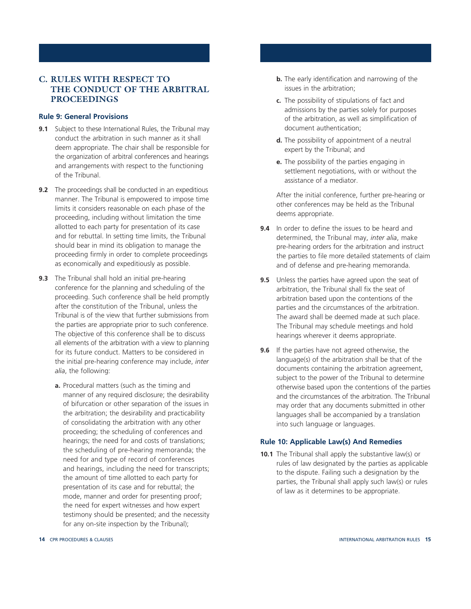# C. RULES WITH RESPECT TO THE CONDUCT OF THE ARBITRAL **PROCEEDINGS**

## Rule 9: General Provisions

- 9.1 Subject to these International Rules, the Tribunal may conduct the arbitration in such manner as it shall deem appropriate. The chair shall be responsible for the organization of arbitral conferences and hearings and arrangements with respect to the functioning of the Tribunal.
- 9.2 The proceedings shall be conducted in an expeditious manner. The Tribunal is empowered to impose time limits it considers reasonable on each phase of the proceeding, including without limitation the time allotted to each party for presentation of its case and for rebuttal. In setting time limits, the Tribunal should bear in mind its obligation to manage the proceeding firmly in order to complete proceedings as economically and expeditiously as possible.
- 9.3 The Tribunal shall hold an initial pre-hearing conference for the planning and scheduling of the proceeding. Such conference shall be held promptly after the constitution of the Tribunal, unless the Tribunal is of the view that further submissions from the parties are appropriate prior to such conference. The objective of this conference shall be to discuss all elements of the arbitration with a view to planning for its future conduct. Matters to be considered in the initial pre-hearing conference may include, inter alia, the following:
	- a. Procedural matters (such as the timing and manner of any required disclosure; the desirability of bifurcation or other separation of the issues in the arbitration; the desirability and practicability of consolidating the arbitration with any other proceeding; the scheduling of conferences and hearings; the need for and costs of translations; the scheduling of pre-hearing memoranda; the need for and type of record of conferences and hearings, including the need for transcripts; the amount of time allotted to each party for presentation of its case and for rebuttal; the mode, manner and order for presenting proof; the need for expert witnesses and how expert testimony should be presented; and the necessity for any on-site inspection by the Tribunal);
- **b.** The early identification and narrowing of the issues in the arbitration;
- c. The possibility of stipulations of fact and admissions by the parties solely for purposes of the arbitration, as well as simplification of document authentication;
- d. The possibility of appointment of a neutral expert by the Tribunal; and
- e. The possibility of the parties engaging in settlement negotiations, with or without the assistance of a mediator.

After the initial conference, further pre-hearing or other conferences may be held as the Tribunal deems appropriate.

- 9.4 In order to define the issues to be heard and determined, the Tribunal may, inter alia, make pre-hearing orders for the arbitration and instruct the parties to file more detailed statements of claim and of defense and pre-hearing memoranda.
- 9.5 Unless the parties have agreed upon the seat of arbitration, the Tribunal shall fix the seat of arbitration based upon the contentions of the parties and the circumstances of the arbitration. The award shall be deemed made at such place. The Tribunal may schedule meetings and hold hearings wherever it deems appropriate.
- 9.6 If the parties have not agreed otherwise, the language(s) of the arbitration shall be that of the documents containing the arbitration agreement, subject to the power of the Tribunal to determine otherwise based upon the contentions of the parties and the circumstances of the arbitration. The Tribunal may order that any documents submitted in other languages shall be accompanied by a translation into such language or languages.

## Rule 10: Applicable Law(s) And Remedies

10.1 The Tribunal shall apply the substantive law(s) or rules of law designated by the parties as applicable to the dispute. Failing such a designation by the parties, the Tribunal shall apply such law(s) or rules of law as it determines to be appropriate.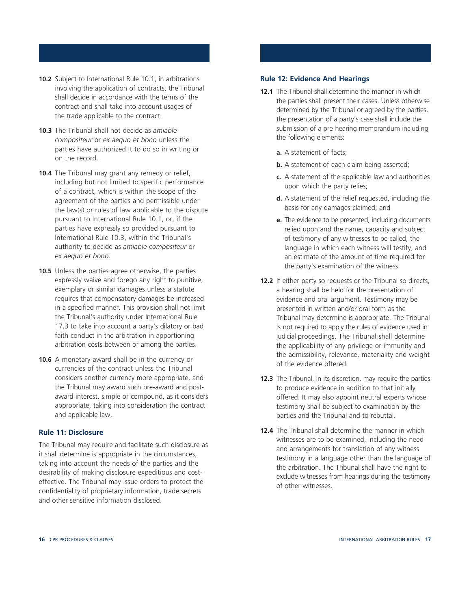- 10.2 Subject to International Rule 10.1, in arbitrations involving the application of contracts, the Tribunal shall decide in accordance with the terms of the contract and shall take into account usages of the trade applicable to the contract.
- 10.3 The Tribunal shall not decide as amiable compositeur or ex aequo et bono unless the parties have authorized it to do so in writing or on the record.
- 10.4 The Tribunal may grant any remedy or relief, including but not limited to specific performance of a contract, which is within the scope of the agreement of the parties and permissible under the law(s) or rules of law applicable to the dispute pursuant to International Rule 10.1, or, if the parties have expressly so provided pursuant to International Rule 10.3, within the Tribunal's authority to decide as amiable compositeur or ex aequo et bono.
- 10.5 Unless the parties agree otherwise, the parties expressly waive and forego any right to punitive, exemplary or similar damages unless a statute requires that compensatory damages be increased in a specified manner. This provision shall not limit the Tribunal's authority under International Rule 17.3 to take into account a party's dilatory or bad faith conduct in the arbitration in apportioning arbitration costs between or among the parties.
- 10.6 A monetary award shall be in the currency or currencies of the contract unless the Tribunal considers another currency more appropriate, and the Tribunal may award such pre-award and postaward interest, simple or compound, as it considers appropriate, taking into consideration the contract and applicable law.

#### Rule 11: Disclosure

The Tribunal may require and facilitate such disclosure as it shall determine is appropriate in the circumstances, taking into account the needs of the parties and the desirability of making disclosure expeditious and costeffective. The Tribunal may issue orders to protect the confidentiality of proprietary information, trade secrets and other sensitive information disclosed.

#### Rule 12: Evidence And Hearings

- 12.1 The Tribunal shall determine the manner in which the parties shall present their cases. Unless otherwise determined by the Tribunal or agreed by the parties, the presentation of a party's case shall include the submission of a pre-hearing memorandum including the following elements:
	- a. A statement of facts;
	- **b.** A statement of each claim being asserted;
	- c. A statement of the applicable law and authorities upon which the party relies;
	- d. A statement of the relief requested, including the basis for any damages claimed; and
	- e. The evidence to be presented, including documents relied upon and the name, capacity and subject of testimony of any witnesses to be called, the language in which each witness will testify, and an estimate of the amount of time required for the party's examination of the witness.
- 12.2 If either party so requests or the Tribunal so directs, a hearing shall be held for the presentation of evidence and oral argument. Testimony may be presented in written and/or oral form as the Tribunal may determine is appropriate. The Tribunal is not required to apply the rules of evidence used in judicial proceedings. The Tribunal shall determine the applicability of any privilege or immunity and the admissibility, relevance, materiality and weight of the evidence offered.
- 12.3 The Tribunal, in its discretion, may require the parties to produce evidence in addition to that initially offered. It may also appoint neutral experts whose testimony shall be subject to examination by the parties and the Tribunal and to rebuttal.
- 12.4 The Tribunal shall determine the manner in which witnesses are to be examined, including the need and arrangements for translation of any witness testimony in a language other than the language of the arbitration. The Tribunal shall have the right to exclude witnesses from hearings during the testimony of other witnesses.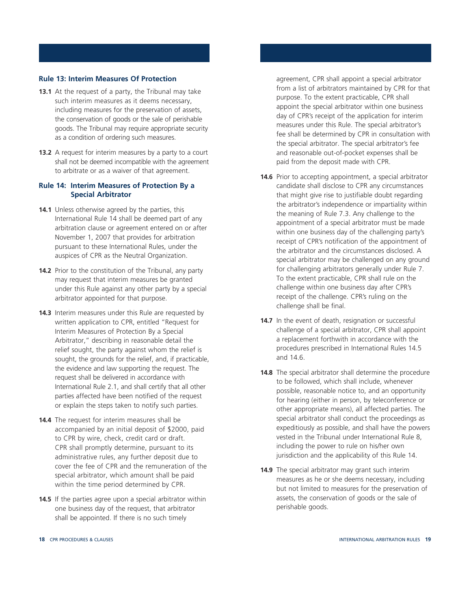#### Rule 13: Interim Measures Of Protection

- 13.1 At the request of a party, the Tribunal may take such interim measures as it deems necessary, including measures for the preservation of assets, the conservation of goods or the sale of perishable goods. The Tribunal may require appropriate security as a condition of ordering such measures.
- 13.2 A request for interim measures by a party to a court shall not be deemed incompatible with the agreement to arbitrate or as a waiver of that agreement.

## Rule 14: Interim Measures of Protection By a Special Arbitrator

- 14.1 Unless otherwise agreed by the parties, this International Rule 14 shall be deemed part of any arbitration clause or agreement entered on or after November 1, 2007 that provides for arbitration pursuant to these International Rules, under the auspices of CPR as the Neutral Organization.
- 14.2 Prior to the constitution of the Tribunal, any party may request that interim measures be granted under this Rule against any other party by a special arbitrator appointed for that purpose.
- 14.3 Interim measures under this Rule are requested by written application to CPR, entitled "Request for Interim Measures of Protection By a Special Arbitrator," describing in reasonable detail the relief sought, the party against whom the relief is sought, the grounds for the relief, and, if practicable, the evidence and law supporting the request. The request shall be delivered in accordance with International Rule 2.1, and shall certify that all other parties affected have been notified of the request or explain the steps taken to notify such parties.
- 14.4 The request for interim measures shall be accompanied by an initial deposit of \$2000, paid to CPR by wire, check, credit card or draft. CPR shall promptly determine, pursuant to its administrative rules, any further deposit due to cover the fee of CPR and the remuneration of the special arbitrator, which amount shall be paid within the time period determined by CPR.
- 14.5 If the parties agree upon a special arbitrator within one business day of the request, that arbitrator shall be appointed. If there is no such timely

agreement, CPR shall appoint a special arbitrator from a list of arbitrators maintained by CPR for that purpose. To the extent practicable, CPR shall appoint the special arbitrator within one business day of CPR's receipt of the application for interim measures under this Rule. The special arbitrator's fee shall be determined by CPR in consultation with the special arbitrator. The special arbitrator's fee and reasonable out-of-pocket expenses shall be paid from the deposit made with CPR.

- 14.6 Prior to accepting appointment, a special arbitrator candidate shall disclose to CPR any circumstances that might give rise to justifiable doubt regarding the arbitrator's independence or impartiality within the meaning of Rule 7.3. Any challenge to the appointment of a special arbitrator must be made within one business day of the challenging party's receipt of CPR's notification of the appointment of the arbitrator and the circumstances disclosed. A special arbitrator may be challenged on any ground for challenging arbitrators generally under Rule 7. To the extent practicable, CPR shall rule on the challenge within one business day after CPR's receipt of the challenge. CPR's ruling on the challenge shall be final.
- 14.7 In the event of death, resignation or successful challenge of a special arbitrator, CPR shall appoint a replacement forthwith in accordance with the procedures prescribed in International Rules 14.5 and 14.6.
- 14.8 The special arbitrator shall determine the procedure to be followed, which shall include, whenever possible, reasonable notice to, and an opportunity for hearing (either in person, by teleconference or other appropriate means), all affected parties. The special arbitrator shall conduct the proceedings as expeditiously as possible, and shall have the powers vested in the Tribunal under International Rule 8, including the power to rule on his/her own jurisdiction and the applicability of this Rule 14.
- 14.9 The special arbitrator may grant such interim measures as he or she deems necessary, including but not limited to measures for the preservation of assets, the conservation of goods or the sale of perishable goods.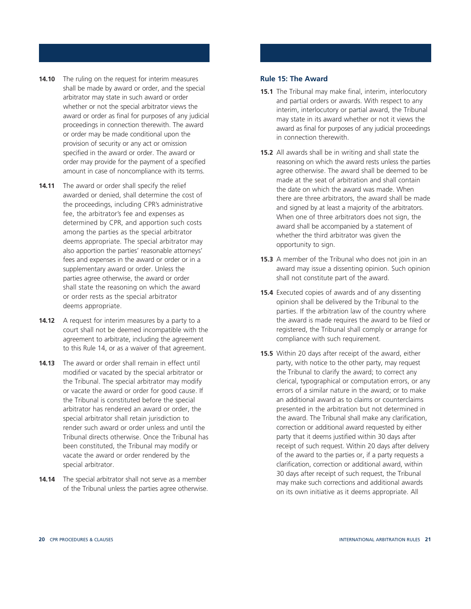- **14.10** The ruling on the request for interim measures shall be made by award or order, and the special arbitrator may state in such award or order whether or not the special arbitrator views the award or order as final for purposes of any judicial proceedings in connection therewith. The award or order may be made conditional upon the provision of security or any act or omission specified in the award or order. The award or order may provide for the payment of a specified amount in case of noncompliance with its terms.
- 14.11 The award or order shall specify the relief awarded or denied, shall determine the cost of the proceedings, including CPR's administrative fee, the arbitrator's fee and expenses as determined by CPR, and apportion such costs among the parties as the special arbitrator deems appropriate. The special arbitrator may also apportion the parties' reasonable attorneys' fees and expenses in the award or order or in a supplementary award or order. Unless the parties agree otherwise, the award or order shall state the reasoning on which the award or order rests as the special arbitrator deems appropriate.
- 14.12 A request for interim measures by a party to a court shall not be deemed incompatible with the agreement to arbitrate, including the agreement to this Rule 14, or as a waiver of that agreement.
- 14.13 The award or order shall remain in effect until modified or vacated by the special arbitrator or the Tribunal. The special arbitrator may modify or vacate the award or order for good cause. If the Tribunal is constituted before the special arbitrator has rendered an award or order, the special arbitrator shall retain jurisdiction to render such award or order unless and until the Tribunal directs otherwise. Once the Tribunal has been constituted, the Tribunal may modify or vacate the award or order rendered by the special arbitrator.
- 14.14 The special arbitrator shall not serve as a member of the Tribunal unless the parties agree otherwise.

#### Rule 15: The Award

- 15.1 The Tribunal may make final, interim, interlocutory and partial orders or awards. With respect to any interim, interlocutory or partial award, the Tribunal may state in its award whether or not it views the award as final for purposes of any judicial proceedings in connection therewith.
- 15.2 All awards shall be in writing and shall state the reasoning on which the award rests unless the parties agree otherwise. The award shall be deemed to be made at the seat of arbitration and shall contain the date on which the award was made. When there are three arbitrators, the award shall be made and signed by at least a majority of the arbitrators. When one of three arbitrators does not sign, the award shall be accompanied by a statement of whether the third arbitrator was given the opportunity to sign.
- 15.3 A member of the Tribunal who does not join in an award may issue a dissenting opinion. Such opinion shall not constitute part of the award.
- 15.4 Executed copies of awards and of any dissenting opinion shall be delivered by the Tribunal to the parties. If the arbitration law of the country where the award is made requires the award to be filed or registered, the Tribunal shall comply or arrange for compliance with such requirement.
- 15.5 Within 20 days after receipt of the award, either party, with notice to the other party, may request the Tribunal to clarify the award; to correct any clerical, typographical or computation errors, or any errors of a similar nature in the award; or to make an additional award as to claims or counterclaims presented in the arbitration but not determined in the award. The Tribunal shall make any clarification, correction or additional award requested by either party that it deems justified within 30 days after receipt of such request. Within 20 days after delivery of the award to the parties or, if a party requests a clarification, correction or additional award, within 30 days after receipt of such request, the Tribunal may make such corrections and additional awards on its own initiative as it deems appropriate. All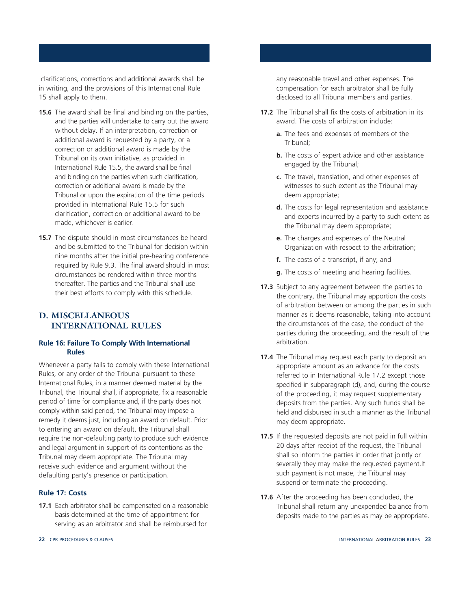clarifications, corrections and additional awards shall be in writing, and the provisions of this International Rule 15 shall apply to them.

- **15.6** The award shall be final and binding on the parties, and the parties will undertake to carry out the award without delay. If an interpretation, correction or additional award is requested by a party, or a correction or additional award is made by the Tribunal on its own initiative, as provided in International Rule 15.5, the award shall be final and binding on the parties when such clarification, correction or additional award is made by the Tribunal or upon the expiration of the time periods provided in International Rule 15.5 for such clarification, correction or additional award to be made, whichever is earlier.
- 15.7 The dispute should in most circumstances be heard and be submitted to the Tribunal for decision within nine months after the initial pre-hearing conference required by Rule 9.3. The final award should in most circumstances be rendered within three months thereafter. The parties and the Tribunal shall use their best efforts to comply with this schedule.

# D. MISCELLANEOUS INTERNATIONAL RULES

## Rule 16: Failure To Comply With International Rules

Whenever a party fails to comply with these International Rules, or any order of the Tribunal pursuant to these International Rules, in a manner deemed material by the Tribunal, the Tribunal shall, if appropriate, fix a reasonable period of time for compliance and, if the party does not comply within said period, the Tribunal may impose a remedy it deems just, including an award on default. Prior to entering an award on default, the Tribunal shall require the non-defaulting party to produce such evidence and legal argument in support of its contentions as the Tribunal may deem appropriate. The Tribunal may receive such evidence and argument without the defaulting party's presence or participation.

# Rule 17: Costs

17.1 Each arbitrator shall be compensated on a reasonable basis determined at the time of appointment for serving as an arbitrator and shall be reimbursed for

any reasonable travel and other expenses. The compensation for each arbitrator shall be fully disclosed to all Tribunal members and parties.

- 17.2 The Tribunal shall fix the costs of arbitration in its award. The costs of arbitration include:
	- a. The fees and expenses of members of the Tribunal;
	- **b.** The costs of expert advice and other assistance engaged by the Tribunal;
	- c. The travel, translation, and other expenses of witnesses to such extent as the Tribunal may deem appropriate;
	- d. The costs for legal representation and assistance and experts incurred by a party to such extent as the Tribunal may deem appropriate;
	- e. The charges and expenses of the Neutral Organization with respect to the arbitration;
	- f. The costs of a transcript, if any; and
	- g. The costs of meeting and hearing facilities.
- 17.3 Subject to any agreement between the parties to the contrary, the Tribunal may apportion the costs of arbitration between or among the parties in such manner as it deems reasonable, taking into account the circumstances of the case, the conduct of the parties during the proceeding, and the result of the arbitration.
- 17.4 The Tribunal may request each party to deposit an appropriate amount as an advance for the costs referred to in International Rule 17.2 except those specified in subparagraph (d), and, during the course of the proceeding, it may request supplementary deposits from the parties. Any such funds shall be held and disbursed in such a manner as the Tribunal may deem appropriate.
- 17.5 If the requested deposits are not paid in full within 20 days after receipt of the request, the Tribunal shall so inform the parties in order that jointly or severally they may make the requested payment.If such payment is not made, the Tribunal may suspend or terminate the proceeding.
- 17.6 After the proceeding has been concluded, the Tribunal shall return any unexpended balance from deposits made to the parties as may be appropriate.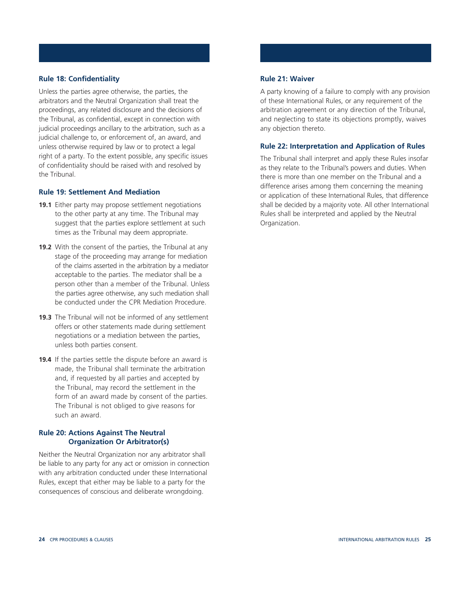### Rule 18: Confidentiality

Unless the parties agree otherwise, the parties, the arbitrators and the Neutral Organization shall treat the proceedings, any related disclosure and the decisions of the Tribunal, as confidential, except in connection with judicial proceedings ancillary to the arbitration, such as a judicial challenge to, or enforcement of, an award, and unless otherwise required by law or to protect a legal right of a party. To the extent possible, any specific issues of confidentiality should be raised with and resolved by the Tribunal.

## Rule 19: Settlement And Mediation

- 19.1 Either party may propose settlement negotiations to the other party at any time. The Tribunal may suggest that the parties explore settlement at such times as the Tribunal may deem appropriate.
- 19.2 With the consent of the parties, the Tribunal at any stage of the proceeding may arrange for mediation of the claims asserted in the arbitration by a mediator acceptable to the parties. The mediator shall be a person other than a member of the Tribunal. Unless the parties agree otherwise, any such mediation shall be conducted under the CPR Mediation Procedure.
- 19.3 The Tribunal will not be informed of any settlement offers or other statements made during settlement negotiations or a mediation between the parties, unless both parties consent.
- 19.4 If the parties settle the dispute before an award is made, the Tribunal shall terminate the arbitration and, if requested by all parties and accepted by the Tribunal, may record the settlement in the form of an award made by consent of the parties. The Tribunal is not obliged to give reasons for such an award.

#### Rule 20: Actions Against The Neutral Organization Or Arbitrator(s)

Neither the Neutral Organization nor any arbitrator shall be liable to any party for any act or omission in connection with any arbitration conducted under these International Rules, except that either may be liable to a party for the consequences of conscious and deliberate wrongdoing.

#### Rule 21: Waiver

A party knowing of a failure to comply with any provision of these International Rules, or any requirement of the arbitration agreement or any direction of the Tribunal, and neglecting to state its objections promptly, waives any objection thereto.

#### Rule 22: Interpretation and Application of Rules

The Tribunal shall interpret and apply these Rules insofar as they relate to the Tribunal's powers and duties. When there is more than one member on the Tribunal and a difference arises among them concerning the meaning or application of these International Rules, that difference shall be decided by a majority vote. All other International Rules shall be interpreted and applied by the Neutral Organization.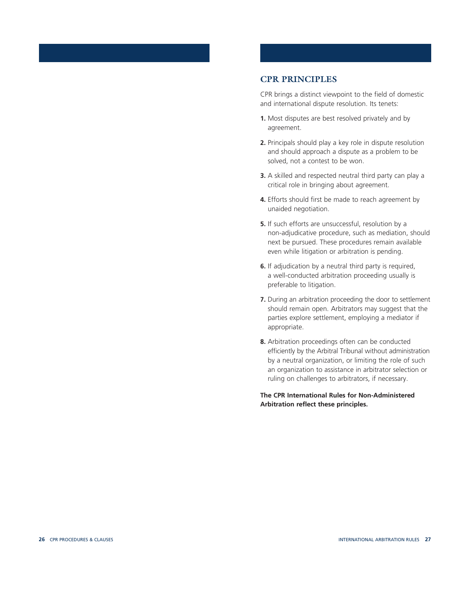# CPR PRINCIPLES

CPR brings a distinct viewpoint to the field of domestic and international dispute resolution. Its tenets:

- 1. Most disputes are best resolved privately and by agreement.
- 2. Principals should play a key role in dispute resolution and should approach a dispute as a problem to be solved, not a contest to be won.
- 3. A skilled and respected neutral third party can play a critical role in bringing about agreement.
- 4. Efforts should first be made to reach agreement by unaided negotiation.
- 5. If such efforts are unsuccessful, resolution by a non-adjudicative procedure, such as mediation, should next be pursued. These procedures remain available even while litigation or arbitration is pending.
- 6. If adjudication by a neutral third party is required, a well-conducted arbitration proceeding usually is preferable to litigation.
- 7. During an arbitration proceeding the door to settlement should remain open. Arbitrators may suggest that the parties explore settlement, employing a mediator if appropriate.
- 8. Arbitration proceedings often can be conducted efficiently by the Arbitral Tribunal without administration by a neutral organization, or limiting the role of such an organization to assistance in arbitrator selection or ruling on challenges to arbitrators, if necessary.

The CPR International Rules for Non-Administered Arbitration reflect these principles.